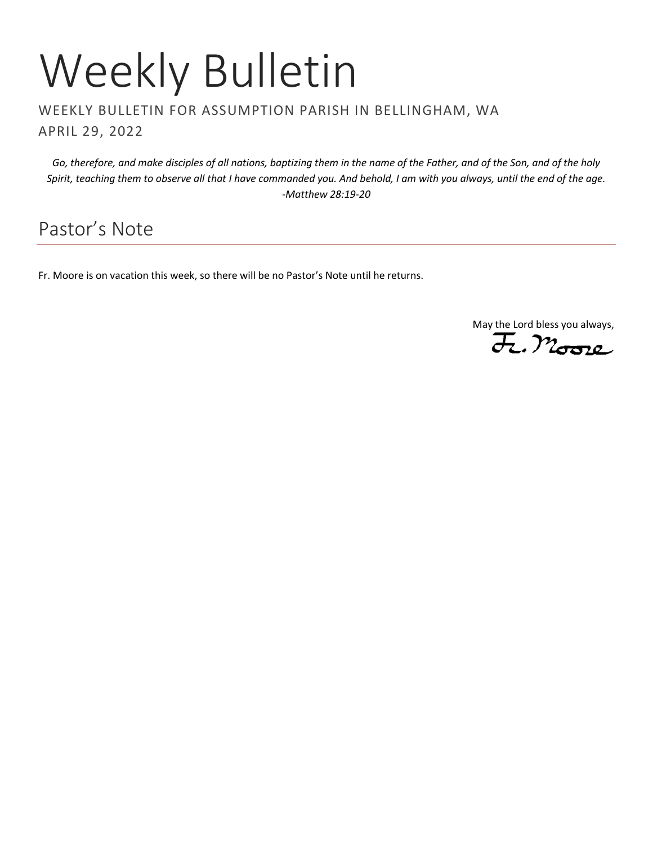# Weekly Bulletin

### WEEKLY BULLETIN FOR ASSUMPTION PARISH IN BELLINGHAM, WA APRIL 29, 2022

*Go, therefore, and make disciples of all nations, baptizing them in the name of the Father, and of the Son, and of the holy Spirit, teaching them to observe all that I have commanded you. And behold, I am with you always, until the end of the age. -Matthew 28:19-20*

# Pastor's Note

Fr. Moore is on vacation this week, so there will be no Pastor's Note until he returns.

May the Lord bless you always,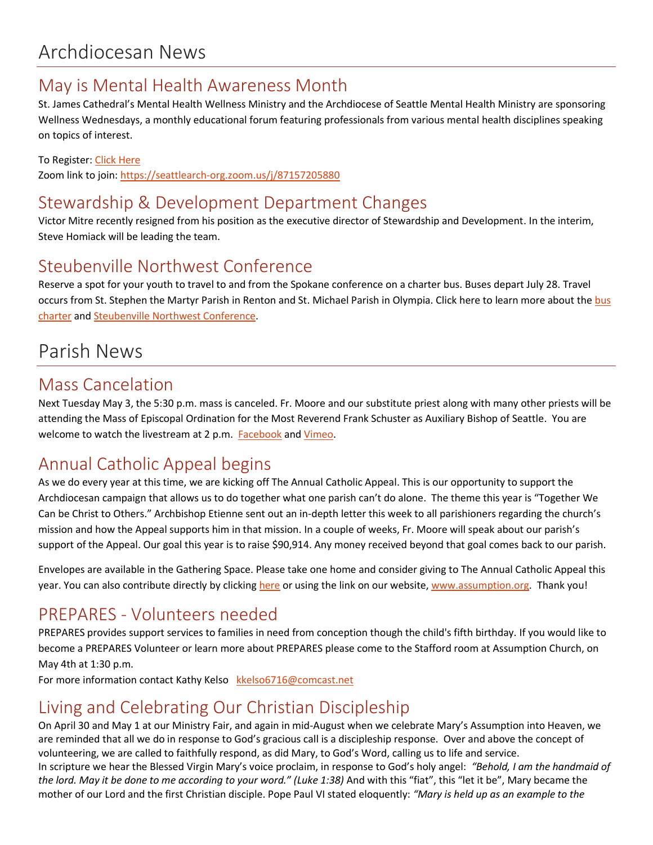### May is Mental Health Awareness Month

St. James Cathedral's Mental Health Wellness Ministry and the Archdiocese of Seattle Mental Health Ministry are sponsoring Wellness Wednesdays, a monthly educational forum featuring professionals from various mental health disciplines speaking on topics of interest.

#### To Register: [Click Here](https://archseattle.org/ministries/outreach-ministries/mental-health-ministry/wellness-wednesdays/)

Zoom link to join:<https://seattlearch-org.zoom.us/j/87157205880>

## Stewardship & Development Department Changes

Victor Mitre recently resigned from his position as the executive director of Stewardship and Development. In the interim, Steve Homiack will be leading the team.

### Steubenville Northwest Conference

Reserve a spot for your youth to travel to and from the Spokane conference on a charter bus. Buses depart July 28. Travel occurs from St. Stephen the Martyr Parish in Renton and St. Michael Parish in Olympia. Click here to learn more about the bus [charter](https://archseattle.org/event/steubenville-northwest-youth-conference/) and [Steubenville Northwest Conference.](https://steubenvilleconferences.com/events/nw/)

# Parish News

### Mass Cancelation

Next Tuesday May 3, the 5:30 p.m. mass is canceled. Fr. Moore and our substitute priest along with many other priests will be attending the Mass of Episcopal Ordination for the Most Reverend Frank Schuster as Auxiliary Bishop of Seattle. You are welcome to watch the livestream at 2 p.m. [Facebook](https://www.facebook.com/ArchdioceseofSeattle) and [Vimeo.](https://vimeo.com/event/1972886)

## Annual Catholic Appeal begins

As we do every year at this time, we are kicking off The Annual Catholic Appeal. This is our opportunity to support the Archdiocesan campaign that allows us to do together what one parish can't do alone. The theme this year is "Together We Can be Christ to Others." Archbishop Etienne sent out an in-depth letter this week to all parishioners regarding the church's mission and how the Appeal supports him in that mission. In a couple of weeks, Fr. Moore will speak about our parish's support of the Appeal. Our goal this year is to raise \$90,914. Any money received beyond that goal comes back to our parish.

Envelopes are available in the Gathering Space. Please take one home and consider giving to The Annual Catholic Appeal this year. You can also contribute directly by clicking [here](http://archseattle.org/giveaca) or using the link on our website[, www.assumption.org.](http://www.assumption.org/) Thank you!

### PREPARES - Volunteers needed

PREPARES provides support services to families in need from conception though the child's fifth birthday. If you would like to become a PREPARES Volunteer or learn more about PREPARES please come to the Stafford room at Assumption Church, on May 4th at 1:30 p.m.

For more information contact Kathy Kelso [kkelso6716@comcast.net](mailto:kkelso6716@comcast.net)

## Living and Celebrating Our Christian Discipleship

On April 30 and May 1 at our Ministry Fair, and again in mid-August when we celebrate Mary's Assumption into Heaven, we are reminded that all we do in response to God's gracious call is a discipleship response. Over and above the concept of volunteering, we are called to faithfully respond, as did Mary, to God's Word, calling us to life and service. In scripture we hear the Blessed Virgin Mary's voice proclaim, in response to God's holy angel: *"Behold, I am the handmaid of the lord. May it be done to me according to your word." (Luke 1:38)* And with this "fiat", this "let it be", Mary became the mother of our Lord and the first Christian disciple. Pope Paul VI stated eloquently: *"Mary is held up as an example to the*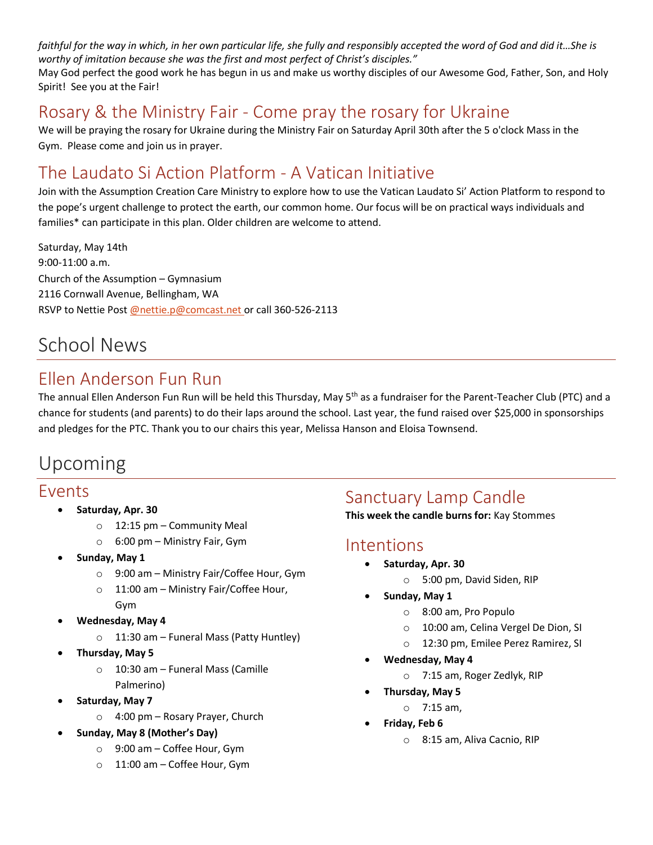*faithful for the way in which, in her own particular life, she fully and responsibly accepted the word of God and did it...She is worthy of imitation because she was the first and most perfect of Christ's disciples."*

May God perfect the good work he has begun in us and make us worthy disciples of our Awesome God, Father, Son, and Holy Spirit! See you at the Fair!

## Rosary & the Ministry Fair - Come pray the rosary for Ukraine

We will be praying the rosary for Ukraine during the Ministry Fair on Saturday April 30th after the 5 o'clock Mass in the Gym. Please come and join us in prayer.

## The Laudato Si Action Platform - A Vatican Initiative

Join with the Assumption Creation Care Ministry to explore how to use the Vatican Laudato Si' Action Platform to respond to the pope's urgent challenge to protect the earth, our common home. Our focus will be on practical ways individuals and families\* can participate in this plan. Older children are welcome to attend.

Saturday, May 14th 9:00-11:00 a.m. Church of the Assumption – Gymnasium 2116 Cornwall Avenue, Bellingham, WA RSVP to Nettie Post [@nettie.p@comcast.net o](mailto:@nettie.p@comcast.net)r call 360-526-2113

## School News

## Ellen Anderson Fun Run

The annual Ellen Anderson Fun Run will be held this Thursday, May 5<sup>th</sup> as a fundraiser for the Parent-Teacher Club (PTC) and a chance for students (and parents) to do their laps around the school. Last year, the fund raised over \$25,000 in sponsorships and pledges for the PTC. Thank you to our chairs this year, Melissa Hanson and Eloisa Townsend.

## Upcoming

### Events

- **Saturday, Apr. 30**
	- o 12:15 pm Community Meal
		- o 6:00 pm Ministry Fair, Gym
- **Sunday, May 1**
	- o 9:00 am Ministry Fair/Coffee Hour, Gym
	- o 11:00 am Ministry Fair/Coffee Hour, Gym
- **Wednesday, May 4**
	- o 11:30 am Funeral Mass (Patty Huntley)
- **Thursday, May 5**
	- o 10:30 am Funeral Mass (Camille Palmerino)
- **Saturday, May 7**
	- o 4:00 pm Rosary Prayer, Church
- **Sunday, May 8 (Mother's Day)**
	- o 9:00 am Coffee Hour, Gym
	- o 11:00 am Coffee Hour, Gym

### Sanctuary Lamp Candle

**This week the candle burns for:** Kay Stommes

### Intentions

- **Saturday, Apr. 30**
	- o 5:00 pm, David Siden, RIP
- **Sunday, May 1**
	- o 8:00 am, Pro Populo
	- o 10:00 am, Celina Vergel De Dion, SI
	- o 12:30 pm, Emilee Perez Ramirez, SI
- **Wednesday, May 4**
	- o 7:15 am, Roger Zedlyk, RIP
- **Thursday, May 5**
	- o 7:15 am,
- **Friday, Feb 6**
	- o 8:15 am, Aliva Cacnio, RIP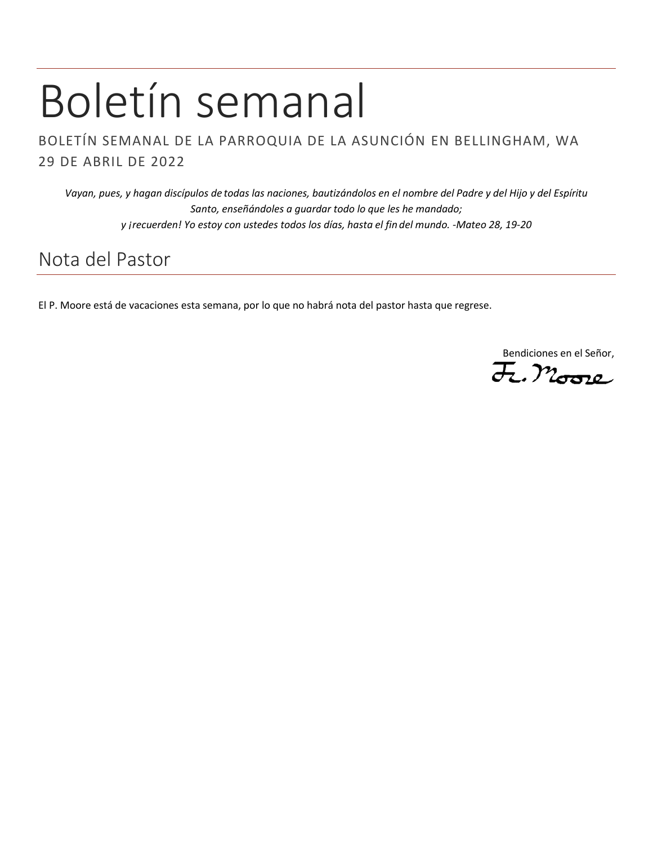# Boletín semanal

BOLETÍN SEMANAL DE LA PARROQUIA DE LA ASUNCIÓN EN BELLINGHAM, WA 29 DE ABRIL DE 2022

*Vayan, pues, y hagan discípulos de todas las naciones, bautizándolos en el nombre del Padre y del Hijo y del Espíritu Santo, enseñándoles a guardar todo lo que les he mandado; y ¡recuerden! Yo estoy con ustedes todos los días, hasta el fin del mundo. -Mateo 28, 19-20*

## Nota del Pastor

El P. Moore está de vacaciones esta semana, por lo que no habrá nota del pastor hasta que regrese.

Bendiciones en el Señor,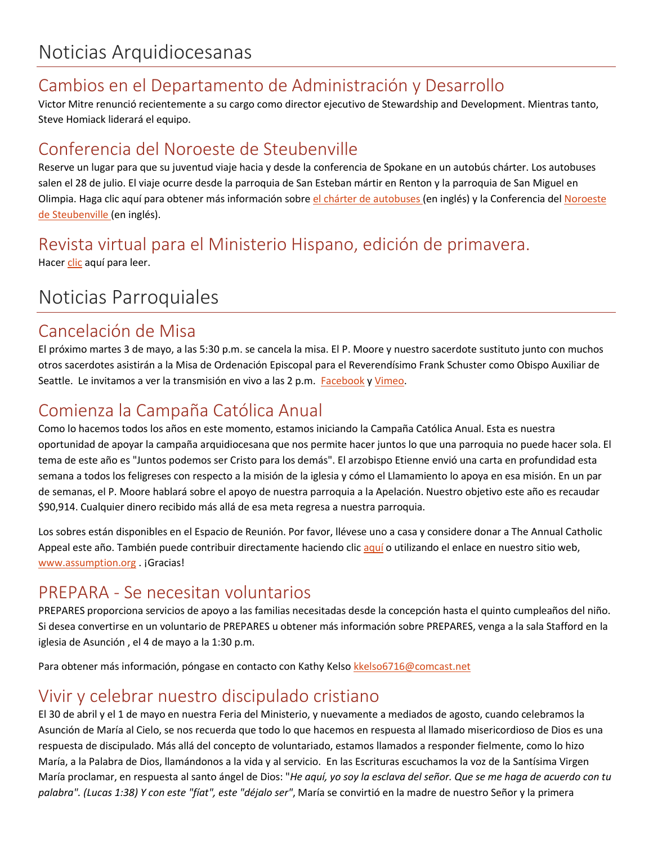## Cambios en el Departamento de Administración y Desarrollo

Victor Mitre renunció recientemente a su cargo como director ejecutivo de Stewardship and Development. Mientras tanto, Steve Homiack liderará el equipo.

### Conferencia del Noroeste de Steubenville

Reserve un lugar para que su juventud viaje hacia y desde la conferencia de Spokane en un autobús chárter. Los autobuses salen el 28 de julio. El viaje ocurre desde la parroquia de San Esteban mártir en Renton y la parroquia de San Miguel en Olimpia. Haga clic aquí para obtener más información sobr[e el chárter de autobuses](https://archseattle.org/event/steubenville-northwest-youth-conference/) (en inglés) y la Conferencia del Noroeste [de Steubenville](https://steubenvilleconferences.com/events/nw/) (en inglés).

### Revista virtual para el Ministerio Hispano, edición de primavera. Hacer [clic](https://seattlearch.box.com/s/pc1rrmtb873jidudggx46xt0z6wgqlhv) aquí para leer.

## Noticias Parroquiales

### Cancelación de Misa

El próximo martes 3 de mayo, a las 5:30 p.m. se cancela la misa. El P. Moore y nuestro sacerdote sustituto junto con muchos otros sacerdotes asistirán a la Misa de Ordenación Episcopal para el Reverendísimo Frank Schuster como Obispo Auxiliar de Seattle. Le invitamos a ver la transmisión en vivo a las 2 p.m. [Facebook](https://www.facebook.com/ArchdioceseofSeattle) [y Vimeo.](https://vimeo.com/event/1972886)

### Comienza la Campaña Católica Anual

Como lo hacemos todos los años en este momento, estamos iniciando la Campaña Católica Anual. Esta es nuestra oportunidad de apoyar la campaña arquidiocesana que nos permite hacer juntos lo que una parroquia no puede hacer sola. El tema de este año es "Juntos podemos ser Cristo para los demás". El arzobispo Etienne envió una carta en profundidad esta semana a todos los feligreses con respecto a la misión de la iglesia y cómo el Llamamiento lo apoya en esa misión. En un par de semanas, el P. Moore hablará sobre el apoyo de nuestra parroquia a la Apelación. Nuestro objetivo este año es recaudar \$90,914. Cualquier dinero recibido más allá de esa meta regresa a nuestra parroquia.

Los sobres están disponibles en el Espacio de Reunión. Por favor, llévese uno a casa y considere donar a The Annual Catholic Appeal este año. También puede contribuir directamente haciendo clic [aquí](https://archseattle.org/dar-y-servir/oportunidades-para-dar/peticion-catolica-anual/2022-aca-proximamente/?lang=es) o utilizando el enlace en nuestro sitio web, [www.assumption.org](http://www.assumption.org/) .jGracias!

### PREPARA - Se necesitan voluntarios

PREPARES proporciona servicios de apoyo a las familias necesitadas desde la concepción hasta el quinto cumpleaños del niño. Si desea convertirse en un voluntario de PREPARES u obtener más información sobre PREPARES, venga a la sala Stafford en la iglesia de Asunción , el 4 de mayo a la 1:30 p.m.

Para obtener más información, póngase en contacto con Kathy Kels[o kkelso6716@comcast.net](mailto:kkelso6716@comcast.net)

## Vivir y celebrar nuestro discipulado cristiano

El 30 de abril y el 1 de mayo en nuestra Feria del Ministerio, y nuevamente a mediados de agosto, cuando celebramos la Asunción de María al Cielo, se nos recuerda que todo lo que hacemos en respuesta al llamado misericordioso de Dios es una respuesta de discipulado. Más allá del concepto de voluntariado, estamos llamados a responder fielmente, como lo hizo María, a la Palabra de Dios, llamándonos a la vida y al servicio. En las Escrituras escuchamos la voz de la Santísima Virgen María proclamar, en respuesta al santo ángel de Dios: "*He aquí, yo soy la esclava del señor. Que se me haga de acuerdo con tu palabra". (Lucas 1:38) Y con este "fíat", este "déjalo ser"*, María se convirtió en la madre de nuestro Señor y la primera